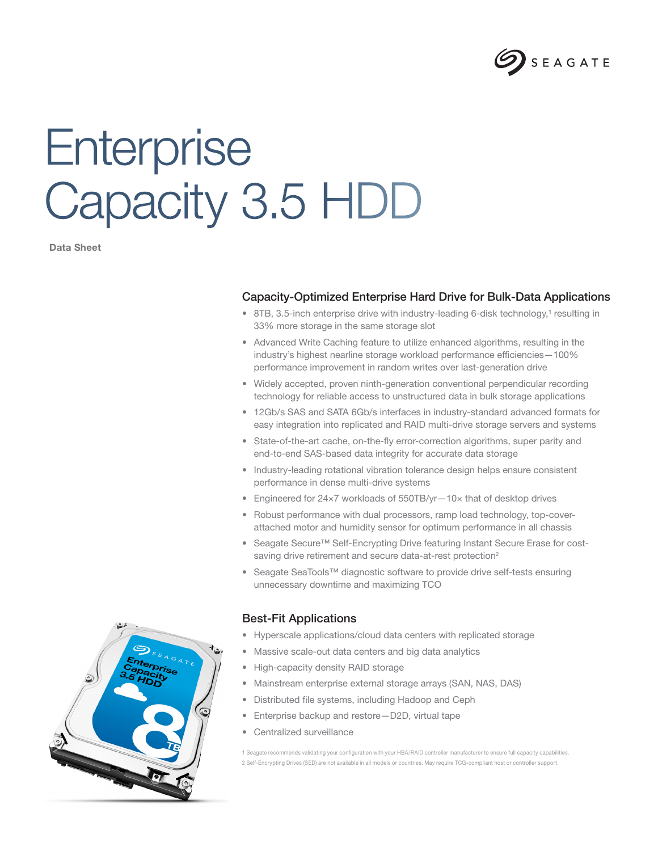

# **Enterprise** Capacity 3.5 HDD

Data Sheet

### Capacity-Optimized Enterprise Hard Drive for Bulk-Data Applications

- 8TB, 3.5-inch enterprise drive with industry-leading 6-disk technology,<sup>1</sup> resulting in 33% more storage in the same storage slot
- Advanced Write Caching feature to utilize enhanced algorithms, resulting in the industry's highest nearline storage workload performance efficiencies—100% performance improvement in random writes over last-generation drive
- Widely accepted, proven ninth-generation conventional perpendicular recording technology for reliable access to unstructured data in bulk storage applications
- 12Gb/s SAS and SATA 6Gb/s interfaces in industry-standard advanced formats for easy integration into replicated and RAID multi-drive storage servers and systems
- State-of-the-art cache, on-the-fly error-correction algorithms, super parity and end-to-end SAS-based data integrity for accurate data storage
- Industry-leading rotational vibration tolerance design helps ensure consistent performance in dense multi-drive systems
- Engineered for 24×7 workloads of 550TB/yr—10× that of desktop drives
- Robust performance with dual processors, ramp load technology, top-coverattached motor and humidity sensor for optimum performance in all chassis
- Seagate Secure™ Self-Encrypting Drive featuring Instant Secure Erase for costsaving drive retirement and secure data-at-rest protection<sup>2</sup>
- Seagate SeaTools™ diagnostic software to provide drive self-tests ensuring unnecessary downtime and maximizing TCO

#### Best-Fit Applications

- Hyperscale applications/cloud data centers with replicated storage
- Massive scale-out data centers and big data analytics
- High-capacity density RAID storage
- Mainstream enterprise external storage arrays (SAN, NAS, DAS)
- Distributed file systems, including Hadoop and Ceph
- Enterprise backup and restore—D2D, virtual tape
- Centralized surveillance

1 Seagate recommends validating your configuration with your HBA/RAID controller manufacturer to ensure full capacity capabilities. 2 Self-Encrypting Drives (SED) are not available in all models or countries. May require TCG-compliant host or controller support.